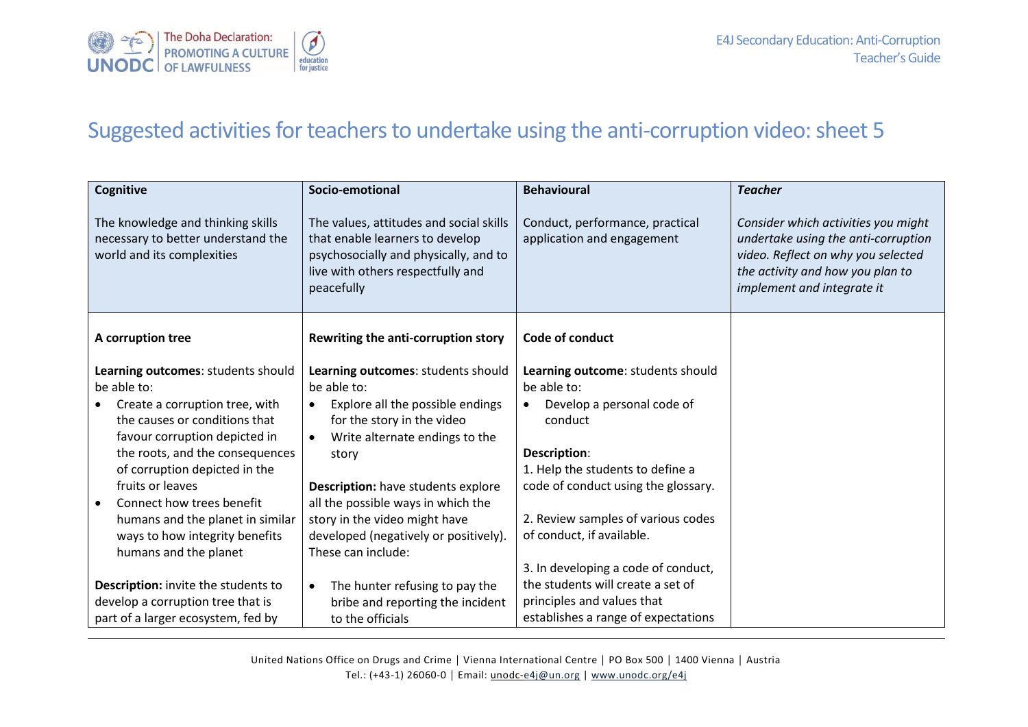

## Suggested activities for teachers to undertake using the anti-corruption video: sheet 5

| <b>Cognitive</b>                                                                                      | Socio-emotional                                                                                                                                                        | <b>Behavioural</b>                                                      | <b>Teacher</b>                                                                                                                                                                     |
|-------------------------------------------------------------------------------------------------------|------------------------------------------------------------------------------------------------------------------------------------------------------------------------|-------------------------------------------------------------------------|------------------------------------------------------------------------------------------------------------------------------------------------------------------------------------|
| The knowledge and thinking skills<br>necessary to better understand the<br>world and its complexities | The values, attitudes and social skills<br>that enable learners to develop<br>psychosocially and physically, and to<br>live with others respectfully and<br>peacefully | Conduct, performance, practical<br>application and engagement           | Consider which activities you might<br>undertake using the anti-corruption<br>video. Reflect on why you selected<br>the activity and how you plan to<br>implement and integrate it |
| A corruption tree                                                                                     | Rewriting the anti-corruption story                                                                                                                                    | Code of conduct                                                         |                                                                                                                                                                                    |
| Learning outcomes: students should                                                                    | Learning outcomes: students should                                                                                                                                     | Learning outcome: students should                                       |                                                                                                                                                                                    |
| be able to:                                                                                           | be able to:                                                                                                                                                            | be able to:                                                             |                                                                                                                                                                                    |
| Create a corruption tree, with                                                                        | Explore all the possible endings<br>$\bullet$                                                                                                                          | Develop a personal code of<br>$\bullet$                                 |                                                                                                                                                                                    |
| the causes or conditions that                                                                         | for the story in the video                                                                                                                                             | conduct                                                                 |                                                                                                                                                                                    |
| favour corruption depicted in                                                                         | Write alternate endings to the                                                                                                                                         |                                                                         |                                                                                                                                                                                    |
| the roots, and the consequences                                                                       | story                                                                                                                                                                  | Description:                                                            |                                                                                                                                                                                    |
| of corruption depicted in the<br>fruits or leaves                                                     |                                                                                                                                                                        | 1. Help the students to define a<br>code of conduct using the glossary. |                                                                                                                                                                                    |
| Connect how trees benefit                                                                             | <b>Description:</b> have students explore<br>all the possible ways in which the                                                                                        |                                                                         |                                                                                                                                                                                    |
| humans and the planet in similar                                                                      | story in the video might have                                                                                                                                          | 2. Review samples of various codes                                      |                                                                                                                                                                                    |
| ways to how integrity benefits                                                                        | developed (negatively or positively).                                                                                                                                  | of conduct, if available.                                               |                                                                                                                                                                                    |
| humans and the planet                                                                                 | These can include:                                                                                                                                                     |                                                                         |                                                                                                                                                                                    |
|                                                                                                       |                                                                                                                                                                        | 3. In developing a code of conduct,                                     |                                                                                                                                                                                    |
| Description: invite the students to                                                                   | The hunter refusing to pay the<br>$\bullet$                                                                                                                            | the students will create a set of                                       |                                                                                                                                                                                    |
| develop a corruption tree that is                                                                     | bribe and reporting the incident                                                                                                                                       | principles and values that                                              |                                                                                                                                                                                    |
| part of a larger ecosystem, fed by                                                                    | to the officials                                                                                                                                                       | establishes a range of expectations                                     |                                                                                                                                                                                    |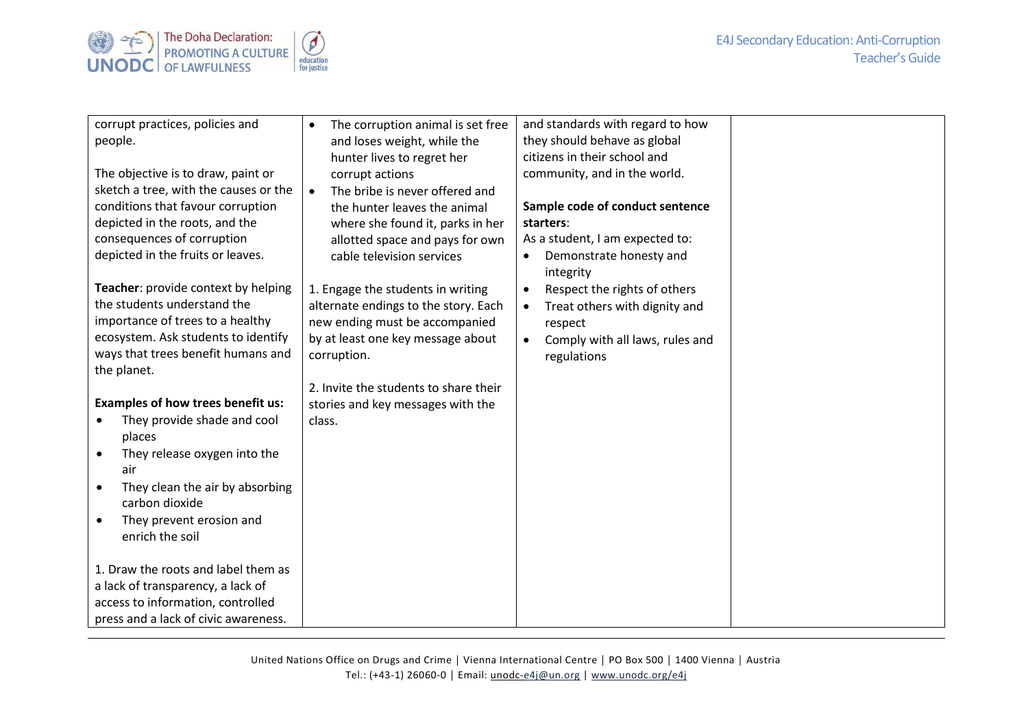

| corrupt practices, policies and          | The corruption animal is set free<br>$\bullet$ | and standards with regard to how             |
|------------------------------------------|------------------------------------------------|----------------------------------------------|
| people.                                  | and loses weight, while the                    | they should behave as global                 |
|                                          | hunter lives to regret her                     | citizens in their school and                 |
| The objective is to draw, paint or       | corrupt actions                                | community, and in the world.                 |
| sketch a tree, with the causes or the    | The bribe is never offered and<br>$\bullet$    |                                              |
| conditions that favour corruption        | the hunter leaves the animal                   | Sample code of conduct sentence              |
| depicted in the roots, and the           |                                                | starters:                                    |
| consequences of corruption               | where she found it, parks in her               | As a student, I am expected to:              |
|                                          | allotted space and pays for own                |                                              |
| depicted in the fruits or leaves.        | cable television services                      | Demonstrate honesty and<br>$\bullet$         |
|                                          |                                                | integrity                                    |
| Teacher: provide context by helping      | 1. Engage the students in writing              | Respect the rights of others<br>$\bullet$    |
| the students understand the              | alternate endings to the story. Each           | Treat others with dignity and<br>$\bullet$   |
| importance of trees to a healthy         | new ending must be accompanied                 | respect                                      |
| ecosystem. Ask students to identify      | by at least one key message about              | Comply with all laws, rules and<br>$\bullet$ |
| ways that trees benefit humans and       | corruption.                                    | regulations                                  |
| the planet.                              |                                                |                                              |
|                                          | 2. Invite the students to share their          |                                              |
| <b>Examples of how trees benefit us:</b> | stories and key messages with the              |                                              |
| They provide shade and cool              | class.                                         |                                              |
| places                                   |                                                |                                              |
| They release oxygen into the             |                                                |                                              |
| air                                      |                                                |                                              |
| They clean the air by absorbing          |                                                |                                              |
| carbon dioxide                           |                                                |                                              |
| They prevent erosion and                 |                                                |                                              |
| enrich the soil                          |                                                |                                              |
|                                          |                                                |                                              |
| 1. Draw the roots and label them as      |                                                |                                              |
| a lack of transparency, a lack of        |                                                |                                              |
| access to information, controlled        |                                                |                                              |
| press and a lack of civic awareness.     |                                                |                                              |